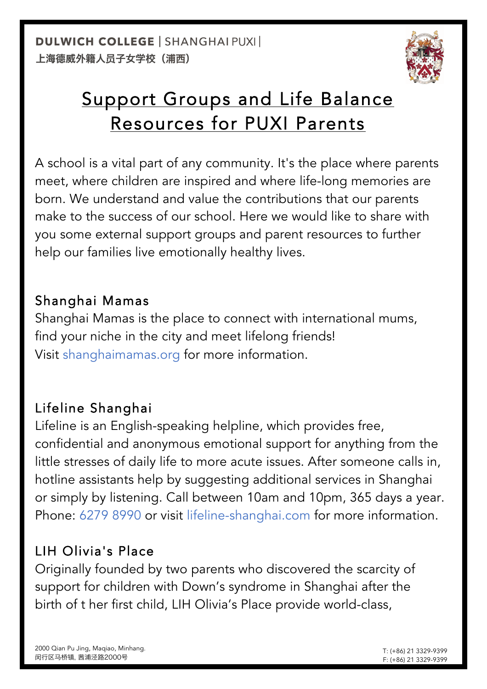

# Support Groups and Life Balance Resources for PUXI Parents

A school is a vital part of any community. It's the place where parents meet, where children are inspired and where life-long memories are born. We understand and value the contributions that our parents make to the success of our school. Here we would like to share with you some external support groups and parent resources to further help our families live emotionally healthy lives.

### Shanghai Mamas

Shanghai Mamas is the place to connect with international mums, find your niche in the city and meet lifelong friends! Visit shanghaimamas.org for more information.

## Lifeline Shanghai

Lifeline is an English-speaking helpline, which provides free, confidential and anonymous emotional support for anything from the little stresses of daily life to more acute issues. After someone calls in, hotline assistants help by suggesting additional services in Shanghai or simply by listening. Call between 10am and 10pm, 365 days a year. Phone: 6279 8990 or visit lifeline-shanghai.com for more information.

## LIH Olivia's Place

Originally founded by two parents who discovered the scarcity of support for children with Down's syndrome in Shanghai after the birth of t her first child, LIH Olivia's Place provide world-class,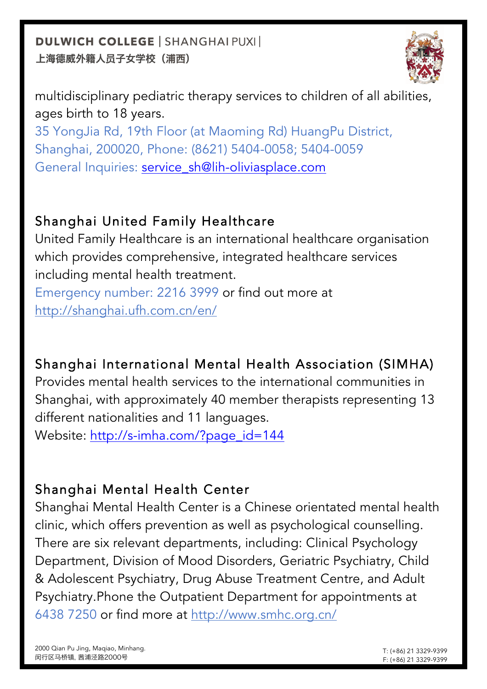**DULWICH COLLEGE | SHANGHAI PUXI |** 上海德威外籍人员子女学校(浦西)



multidisciplinary pediatric therapy services to children of all abilities, ages birth to 18 years.

35 YongJia Rd, 19th Floor (at Maoming Rd) HuangPu District, Shanghai, 200020, Phone: (8621) 5404-0058; 5404-0059 General Inquiries: service\_sh@lih-oliviasplace.com

### Shanghai United Family Healthcare

United Family Healthcare is an international healthcare organisation which provides comprehensive, integrated healthcare services including mental health treatment.

Emergency number: 2216 3999 or find out more at http://shanghai.ufh.com.cn/en/

## Shanghai International Mental Health Association (SIMHA)

Provides mental health services to the international communities in Shanghai, with approximately 40 member therapists representing 13 different nationalities and 11 languages.

Website: http://s-imha.com/?page\_id=144

## Shanghai Mental Health Center

Shanghai Mental Health Center is a Chinese orientated mental health clinic, which offers prevention as well as psychological counselling. There are six relevant departments, including: Clinical Psychology Department, Division of Mood Disorders, Geriatric Psychiatry, Child & Adolescent Psychiatry, Drug Abuse Treatment Centre, and Adult Psychiatry.Phone the Outpatient Department for appointments at 6438 7250 or find more at http://www.smhc.org.cn/